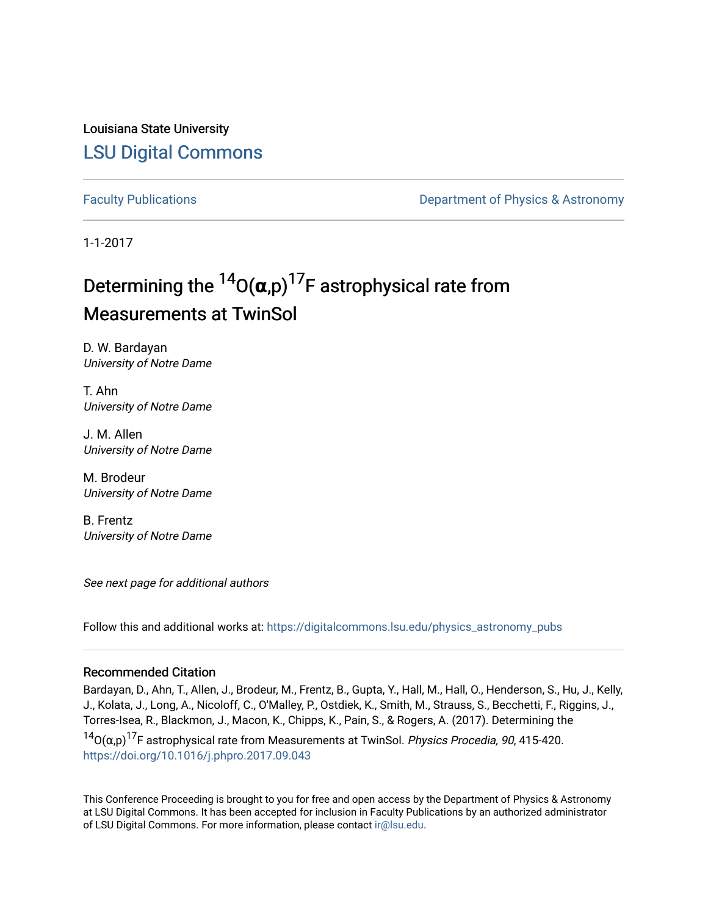Louisiana State University [LSU Digital Commons](https://digitalcommons.lsu.edu/)

[Faculty Publications](https://digitalcommons.lsu.edu/physics_astronomy_pubs) **Example 2** Constant Department of Physics & Astronomy

1-1-2017

# Determining the  $^{14}$ O( $\alpha$ ,p)<sup>17</sup>F astrophysical rate from Measurements at TwinSol

D. W. Bardayan University of Notre Dame

T. Ahn University of Notre Dame

J. M. Allen University of Notre Dame

M. Brodeur University of Notre Dame

B. Frentz University of Notre Dame

See next page for additional authors

Follow this and additional works at: [https://digitalcommons.lsu.edu/physics\\_astronomy\\_pubs](https://digitalcommons.lsu.edu/physics_astronomy_pubs?utm_source=digitalcommons.lsu.edu%2Fphysics_astronomy_pubs%2F229&utm_medium=PDF&utm_campaign=PDFCoverPages) 

### Recommended Citation

Bardayan, D., Ahn, T., Allen, J., Brodeur, M., Frentz, B., Gupta, Y., Hall, M., Hall, O., Henderson, S., Hu, J., Kelly, J., Kolata, J., Long, A., Nicoloff, C., O'Malley, P., Ostdiek, K., Smith, M., Strauss, S., Becchetti, F., Riggins, J., Torres-Isea, R., Blackmon, J., Macon, K., Chipps, K., Pain, S., & Rogers, A. (2017). Determining the

 $14$ O(α,p)<sup>17</sup>F astrophysical rate from Measurements at TwinSol. *Physics Procedia, 90*, 415-420. <https://doi.org/10.1016/j.phpro.2017.09.043>

This Conference Proceeding is brought to you for free and open access by the Department of Physics & Astronomy at LSU Digital Commons. It has been accepted for inclusion in Faculty Publications by an authorized administrator of LSU Digital Commons. For more information, please contact [ir@lsu.edu](mailto:ir@lsu.edu).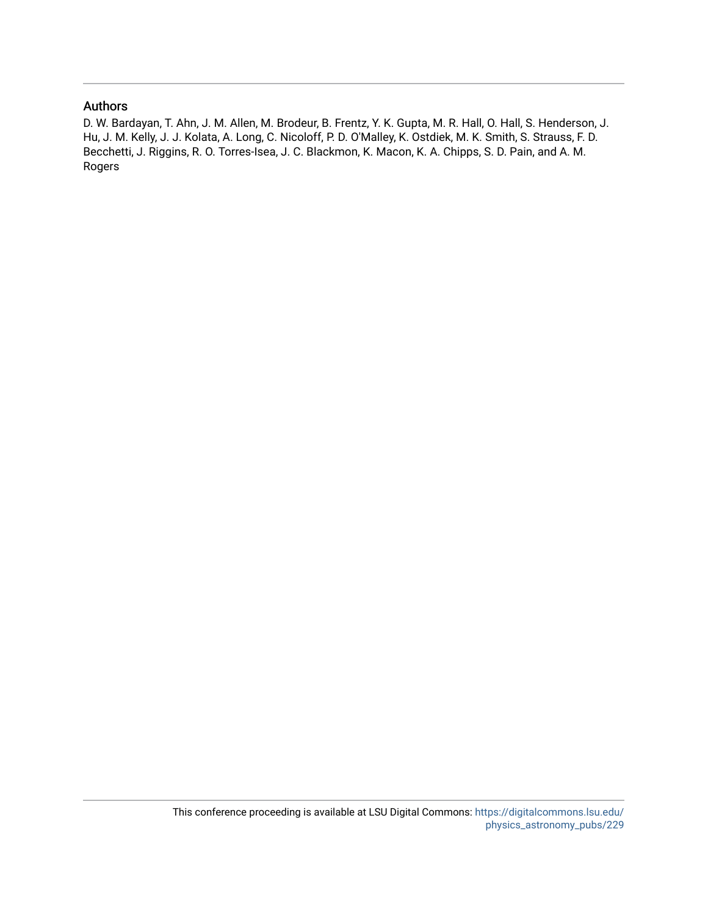# Authors

D. W. Bardayan, T. Ahn, J. M. Allen, M. Brodeur, B. Frentz, Y. K. Gupta, M. R. Hall, O. Hall, S. Henderson, J. Hu, J. M. Kelly, J. J. Kolata, A. Long, C. Nicoloff, P. D. O'Malley, K. Ostdiek, M. K. Smith, S. Strauss, F. D. Becchetti, J. Riggins, R. O. Torres-Isea, J. C. Blackmon, K. Macon, K. A. Chipps, S. D. Pain, and A. M. Rogers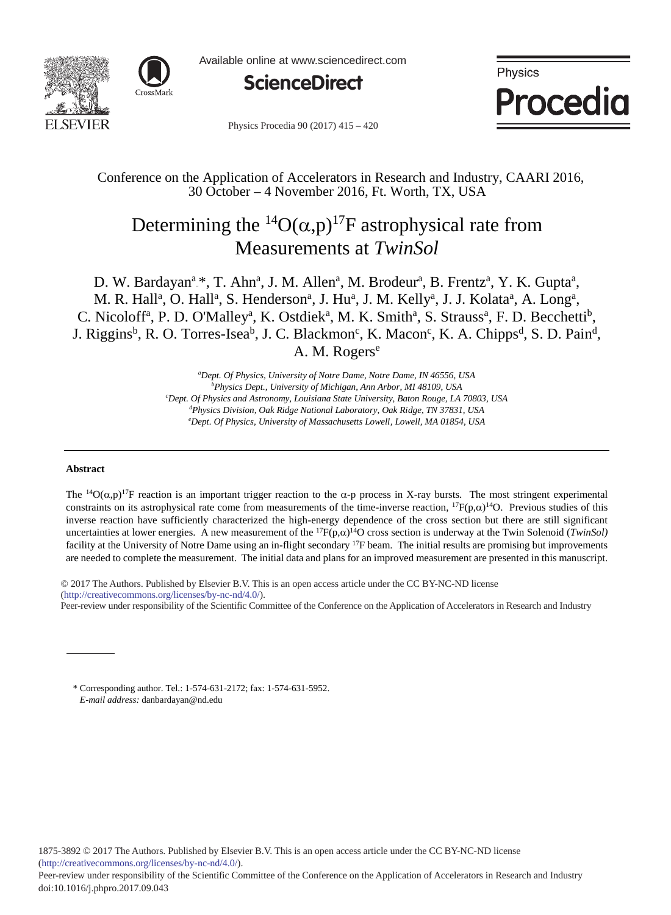



Available online at www.sciencedirect.com



Physics Procedia

Physics Procedia 90 (2017) 415 - 420

# Conference on the Application of Accelerators in Research and Industry, CAARI 2016, 30 October – 4 November 2016, Ft. Worth, TX, USA

# Determining the <sup>14</sup>O( $\alpha$ ,p)<sup>17</sup>F astrophysical rate from Measurements at *TwinSol*

D. W. Bardayan<sup>a</sup>.\*, T. Ahn<sup>a</sup>, J. M. Allen<sup>a</sup>, M. Brodeur<sup>a</sup>, B. Frentz<sup>a</sup>, Y. K. Gupta<sup>a</sup>, M. R. Hall<sup>a</sup>, O. Hall<sup>a</sup>, S. Henderson<sup>a</sup>, J. Hu<sup>a</sup>, J. M. Kelly<sup>a</sup>, J. J. Kolata<sup>a</sup>, A. Long<sup>a</sup>, C. Nicoloff<sup>a</sup>, P. D. O'Malley<sup>a</sup>, K. Ostdiek<sup>a</sup>, M. K. Smith<sup>a</sup>, S. Strauss<sup>a</sup>, F. D. Becchetti<sup>b</sup>, J. Riggins<sup>b</sup>, R. O. Torres-Isea<sup>b</sup>, J. C. Blackmon<sup>c</sup>, K. Macon<sup>c</sup>, K. A. Chipps<sup>d</sup>, S. D. Pain<sup>d</sup>, A. M. Rogers<sup>e</sup>

> *a Dept. Of Physics, University of Notre Dame, Notre Dame, IN 46556, USA b Physics Dept., University of Michigan, Ann Arbor, MI 48109, USA c Dept. Of Physics and Astronomy, Louisiana State University, Baton Rouge, LA 70803, USA d Physics Division, Oak Ridge National Laboratory, Oak Ridge, TN 37831, USA e Dept. Of Physics, University of Massachusetts Lowell, Lowell, MA 01854, USA*

#### **Abstract**

The <sup>14</sup>O( $\alpha$ ,p)<sup>17</sup>F reaction is an important trigger reaction to the  $\alpha$ -p process in X-ray bursts. The most stringent experimental constraints on its astrophysical rate come from measurements of the time-inverse reaction, <sup>17</sup>F(p, $\alpha$ )<sup>14</sup>O. Previous studies of this inverse reaction have sufficiently characterized the high-energy dependence of the cross section but there are still significant uncertainties at lower energies. A new measurement of the  ${}^{17}F(p,\alpha){}^{14}O$  cross section is underway at the Twin Solenoid (*TwinSol*) facility at the University of Notre Dame using an in-flight secondary <sup>17</sup>F beam. The initial results are promising but improvements are needed to complete the measurement. The initial data and plans for an improved measurement are presented in this manuscript.

© 2017 The Authors. Published by Elsevier B.V. © 2017 The Authors. Published by Elsevier B.V. This is an open access article under the CC BY-NC-ND license (http://creativecommons.org/licenses/by-nc-nd/4.0/). Peer-review under responsibility of the Scientific Committee of the Conference on the Application of Accelerators in Research and Industry

\* Corresponding author. Tel.: 1-574-631-2172; fax: 1-574-631-5952. *E-mail address:* danbardayan@nd.edu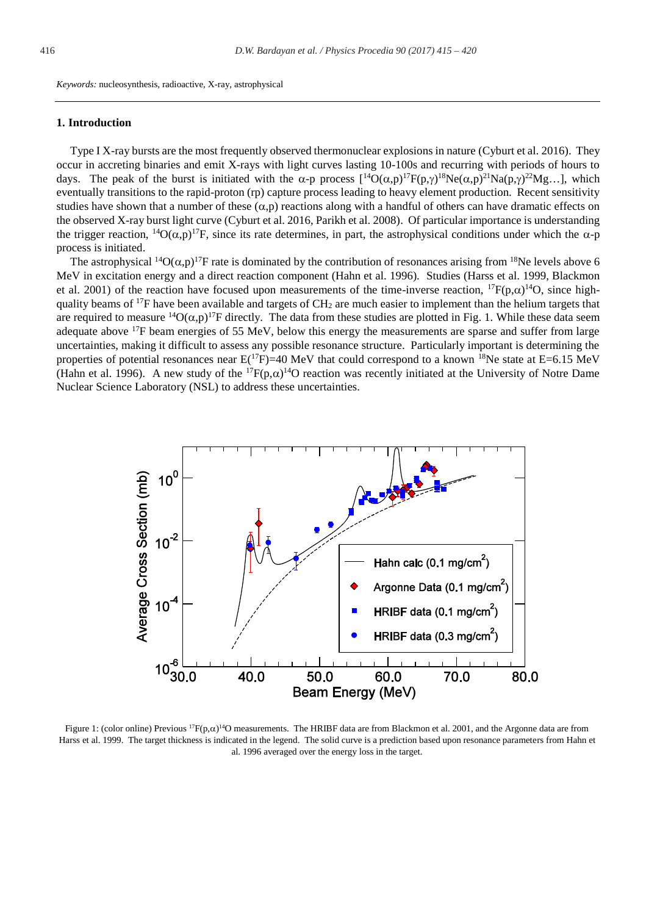*Keywords:* nucleosynthesis, radioactive, X-ray, astrophysical

#### **1. Introduction**

Type I X-ray bursts are the most frequently observed thermonuclear explosions in nature (Cyburt et al. 2016). They occur in accreting binaries and emit X-rays with light curves lasting 10-100s and recurring with periods of hours to days. The peak of the burst is initiated with the  $\alpha$ -p process  $[{}^{14}O(\alpha,p){}^{17}F(p,\gamma){}^{18}Ne(\alpha,p){}^{21}Na(p,\gamma){}^{22}Mg...]$ , which eventually transitions to the rapid-proton (rp) capture process leading to heavy element production. Recent sensitivity studies have shown that a number of these  $(\alpha, p)$  reactions along with a handful of others can have dramatic effects on the observed X-ray burst light curve (Cyburt et al. 2016, Parikh et al. 2008). Of particular importance is understanding the trigger reaction, <sup>14</sup>O( $\alpha$ ,p)<sup>17</sup>F, since its rate determines, in part, the astrophysical conditions under which the  $\alpha$ -p process is initiated.

The astrophysical <sup>14</sup>O( $\alpha$ ,p)<sup>17</sup>F rate is dominated by the contribution of resonances arising from <sup>18</sup>Ne levels above 6 MeV in excitation energy and a direct reaction component (Hahn et al. 1996). Studies (Harss et al. 1999, Blackmon et al. 2001) of the reaction have focused upon measurements of the time-inverse reaction,  ${}^{17}F(p,\alpha){}^{14}O$ , since highquality beams of  $^{17}F$  have been available and targets of  $CH<sub>2</sub>$  are much easier to implement than the helium targets that are required to measure <sup>14</sup>O( $\alpha$ ,p)<sup>17</sup>F directly. The data from these studies are plotted in Fig. 1. While these data seem adequate above  $17F$  beam energies of 55 MeV, below this energy the measurements are sparse and suffer from large uncertainties, making it difficult to assess any possible resonance structure. Particularly important is determining the properties of potential resonances near  $E^{(17F)}=40 \text{ MeV}$  that could correspond to a known <sup>18</sup>Ne state at E=6.15 MeV (Hahn et al. 1996). A new study of the  ${}^{17}F(p,\alpha){}^{14}O$  reaction was recently initiated at the University of Notre Dame Nuclear Science Laboratory (NSL) to address these uncertainties.



Figure 1: (color online) Previous  ${}^{17}F(p,\alpha){}^{14}O$  measurements. The HRIBF data are from Blackmon et al. 2001, and the Argonne data are from Harss et al. 1999. The target thickness is indicated in the legend. The solid curve is a prediction based upon resonance parameters from Hahn et al. 1996 averaged over the energy loss in the target.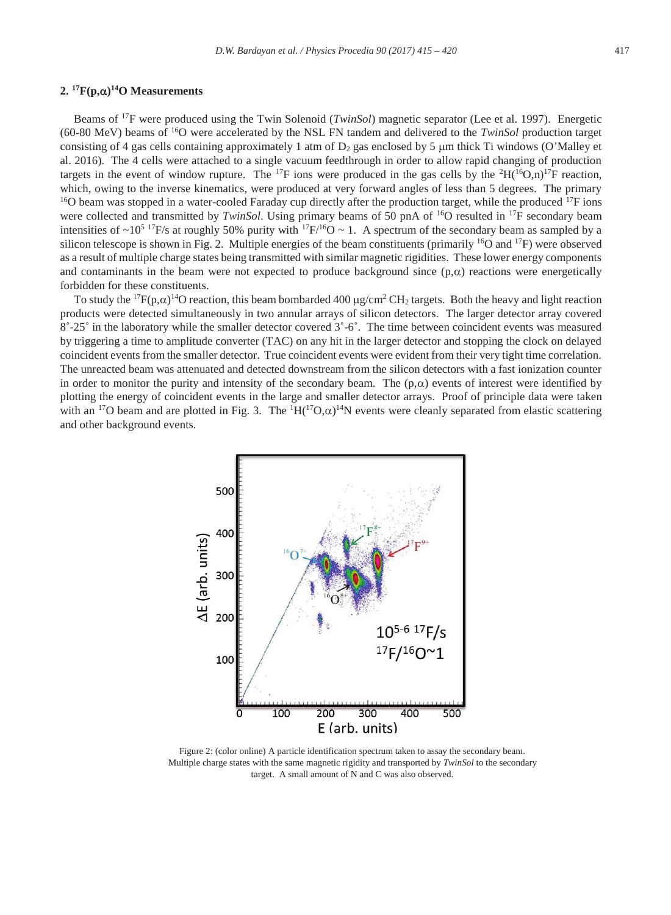#### **2.**  ${}^{17}F(p,\alpha){}^{14}O$  Measurements

Beams of 17F were produced using the Twin Solenoid (*TwinSol*) magnetic separator (Lee et al. 1997). Energetic (60-80 MeV) beams of 16O were accelerated by the NSL FN tandem and delivered to the *TwinSol* production target consisting of 4 gas cells containing approximately 1 atm of  $D_2$  gas enclosed by 5  $\mu$ m thick Ti windows (O'Malley et al. 2016). The 4 cells were attached to a single vacuum feedthrough in order to allow rapid changing of production targets in the event of window rupture. The <sup>17</sup>F ions were produced in the gas cells by the <sup>2</sup>H(<sup>16</sup>O,n)<sup>17</sup>F reaction, which, owing to the inverse kinematics, were produced at very forward angles of less than 5 degrees. The primary <sup>16</sup>O beam was stopped in a water-cooled Faraday cup directly after the production target, while the produced were collected and transmitted by *TwinSol*. Using primary beams of 50 pnA of 16O resulted in 17F secondary beam intensities of ~10<sup>5 17</sup>F/s at roughly 50% purity with <sup>17</sup>F/<sup>16</sup>O ~ 1. A spectrum of the secondary beam as sampled by a silicon telescope is shown in Fig. 2. Multiple energies of the beam constituents (primarily <sup>16</sup>O and <sup>17</sup>F) were observed as a result of multiple charge states being transmitted with similar magnetic rigidities. These lower energy components and contaminants in the beam were not expected to produce background since  $(p,\alpha)$  reactions were energetically forbidden for these constituents.

To study the <sup>17</sup> $F(p,\alpha)$ <sup>14</sup>O reaction, this beam bombarded 400  $\mu$ g/cm<sup>2</sup> CH<sub>2</sub> targets. Both the heavy and light reaction products were detected simultaneously in two annular arrays of silicon detectors. The larger detector array covered  $8°-25°$  in the laboratory while the smaller detector covered  $3°-6°$ . The time between coincident events was measured by triggering a time to amplitude converter (TAC) on any hit in the larger detector and stopping the clock on delayed coincident events from the smaller detector. True coincident events were evident from their very tight time correlation. The unreacted beam was attenuated and detected downstream from the silicon detectors with a fast ionization counter in order to monitor the purity and intensity of the secondary beam. The  $(p, \alpha)$  events of interest were identified by plotting the energy of coincident events in the large and smaller detector arrays. Proof of principle data were taken with an <sup>17</sup>O beam and are plotted in Fig. 3. The  ${}^{1}H({}^{17}O,\alpha)^{14}N$  events were cleanly separated from elastic scattering and other background events.



Figure 2: (color online) A particle identification spectrum taken to assay the secondary beam. Multiple charge states with the same magnetic rigidity and transported by *TwinSol* to the secondary target. A small amount of N and C was also observed.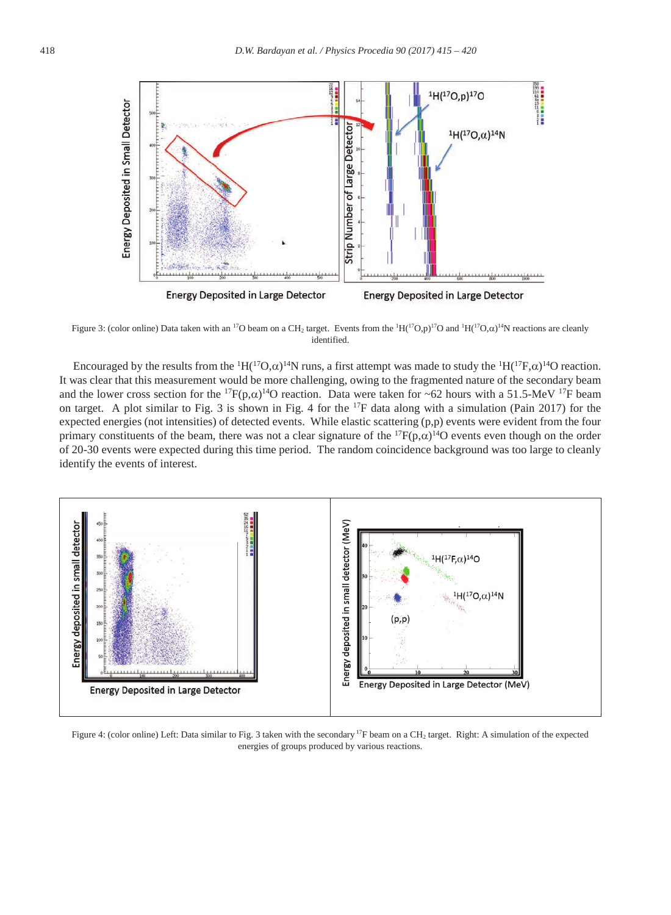

Figure 3: (color online) Data taken with an <sup>17</sup>O beam on a CH<sub>2</sub> target. Events from the <sup>1</sup>H(<sup>17</sup>O,p)<sup>17</sup>O and <sup>1</sup>H(<sup>17</sup>O, $\alpha$ )<sup>14</sup>N reactions are cleanly identified.

Encouraged by the results from the <sup>1</sup>H(<sup>17</sup>O, $\alpha$ )<sup>14</sup>N runs, a first attempt was made to study the <sup>1</sup>H(<sup>17</sup>F, $\alpha$ )<sup>14</sup>O reaction. It was clear that this measurement would be more challenging, owing to the fragmented nature of the secondary beam and the lower cross section for the <sup>17</sup>F(p, $\alpha$ )<sup>14</sup>O reaction. Data were taken for ~62 hours with a 51.5-MeV <sup>17</sup>F beam on target. A plot similar to Fig. 3 is shown in Fig. 4 for the  $^{17}F$  data along with a simulation (Pain 2017) for the expected energies (not intensities) of detected events. While elastic scattering (p,p) events were evident from the four primary constituents of the beam, there was not a clear signature of the  ${}^{17}F(p,\alpha){}^{14}O$  events even though on the order of 20-30 events were expected during this time period. The random coincidence background was too large to cleanly identify the events of interest.



Figure 4: (color online) Left: Data similar to Fig. 3 taken with the secondary <sup>17</sup>F beam on a CH<sub>2</sub> target. Right: A simulation of the expected energies of groups produced by various reactions.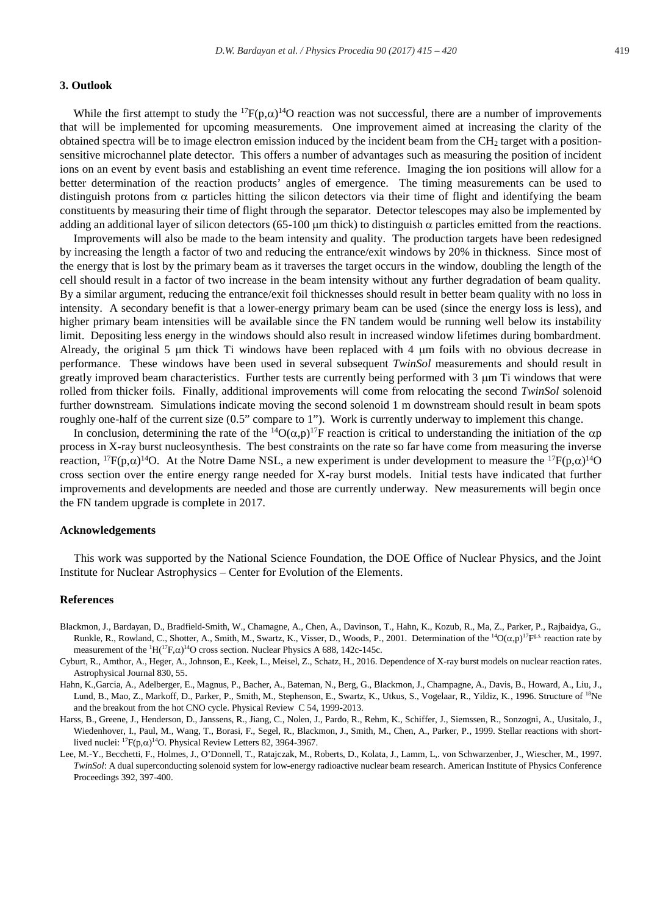#### **3. Outlook**

While the first attempt to study the  ${}^{17}F(p,\alpha){}^{14}O$  reaction was not successful, there are a number of improvements that will be implemented for upcoming measurements. One improvement aimed at increasing the clarity of the obtained spectra will be to image electron emission induced by the incident beam from the  $CH<sub>2</sub>$  target with a positionsensitive microchannel plate detector. This offers a number of advantages such as measuring the position of incident ions on an event by event basis and establishing an event time reference. Imaging the ion positions will allow for a better determination of the reaction products' angles of emergence. The timing measurements can be used to distinguish protons from  $\alpha$  particles hitting the silicon detectors via their time of flight and identifying the beam constituents by measuring their time of flight through the separator. Detector telescopes may also be implemented by adding an additional layer of silicon detectors (65-100  $\mu$ m thick) to distinguish  $\alpha$  particles emitted from the reactions.

Improvements will also be made to the beam intensity and quality. The production targets have been redesigned by increasing the length a factor of two and reducing the entrance/exit windows by 20% in thickness. Since most of the energy that is lost by the primary beam as it traverses the target occurs in the window, doubling the length of the cell should result in a factor of two increase in the beam intensity without any further degradation of beam quality. By a similar argument, reducing the entrance/exit foil thicknesses should result in better beam quality with no loss in intensity. A secondary benefit is that a lower-energy primary beam can be used (since the energy loss is less), and higher primary beam intensities will be available since the FN tandem would be running well below its instability limit. Depositing less energy in the windows should also result in increased window lifetimes during bombardment. Already, the original 5  $\mu$ m thick Ti windows have been replaced with 4  $\mu$ m foils with no obvious decrease in performance. These windows have been used in several subsequent *TwinSol* measurements and should result in greatly improved beam characteristics. Further tests are currently being performed with  $3 \mu m$  Ti windows that were rolled from thicker foils. Finally, additional improvements will come from relocating the second *TwinSol* solenoid further downstream. Simulations indicate moving the second solenoid 1 m downstream should result in beam spots roughly one-half of the current size (0.5" compare to 1"). Work is currently underway to implement this change.

In conclusion, determining the rate of the <sup>14</sup>O( $\alpha$ ,p)<sup>17</sup>F reaction is critical to understanding the initiation of the  $\alpha$ p process in X-ray burst nucleosynthesis. The best constraints on the rate so far have come from measuring the inverse reaction, <sup>17</sup>F(p, $\alpha$ )<sup>14</sup>O. At the Notre Dame NSL, a new experiment is under development to measure the <sup>17</sup>F(p, $\alpha$ )<sup>14</sup>O cross section over the entire energy range needed for X-ray burst models. Initial tests have indicated that further improvements and developments are needed and those are currently underway. New measurements will begin once the FN tandem upgrade is complete in 2017.

#### **Acknowledgements**

This work was supported by the National Science Foundation, the DOE Office of Nuclear Physics, and the Joint Institute for Nuclear Astrophysics – Center for Evolution of the Elements.

#### **References**

- Blackmon, J., Bardayan, D., Bradfield-Smith, W., Chamagne, A., Chen, A., Davinson, T., Hahn, K., Kozub, R., Ma, Z., Parker, P., Rajbaidya, G., Runkle, R., Rowland, C., Shotter, A., Smith, M., Swartz, K., Visser, D., Woods, P., 2001. Determination of the  ${}^{14}O(\alpha,p){}^{17}F^{g.s.}$  reaction rate by measurement of the  ${}^{1}H({}^{17}F,\alpha) {}^{14}O$  cross section. Nuclear Physics A 688, 142c-145c.
- Cyburt, R., Amthor, A., Heger, A., Johnson, E., Keek, L., Meisel, Z., Schatz, H., 2016. Dependence of X-ray burst models on nuclear reaction rates. Astrophysical Journal 830, 55.
- Hahn, K.,Garcia, A., Adelberger, E., Magnus, P., Bacher, A., Bateman, N., Berg, G., Blackmon, J., Champagne, A., Davis, B., Howard, A., Liu, J., Lund, B., Mao, Z., Markoff, D., Parker, P., Smith, M., Stephenson, E., Swartz, K., Utkus, S., Vogelaar, R., Yildiz, K., 1996. Structure of <sup>18</sup>Ne and the breakout from the hot CNO cycle. Physical Review C 54, 1999-2013.
- Harss, B., Greene, J., Henderson, D., Janssens, R., Jiang, C., Nolen, J., Pardo, R., Rehm, K., Schiffer, J., Siemssen, R., Sonzogni, A., Uusitalo, J., Wiedenhover, I., Paul, M., Wang, T., Borasi, F., Segel, R., Blackmon, J., Smith, M., Chen, A., Parker, P., 1999. Stellar reactions with shortlived nuclei:  ${}^{17}F(p,\alpha){}^{14}O$ . Physical Review Letters 82, 3964-3967.
- Lee, M.-Y., Becchetti, F., Holmes, J., O'Donnell, T., Ratajczak, M., Roberts, D., Kolata, J., Lamm, L,. von Schwarzenber, J., Wiescher, M., 1997. *TwinSol*: A dual superconducting solenoid system for low-energy radioactive nuclear beam research. American Institute of Physics Conference Proceedings 392, 397-400.